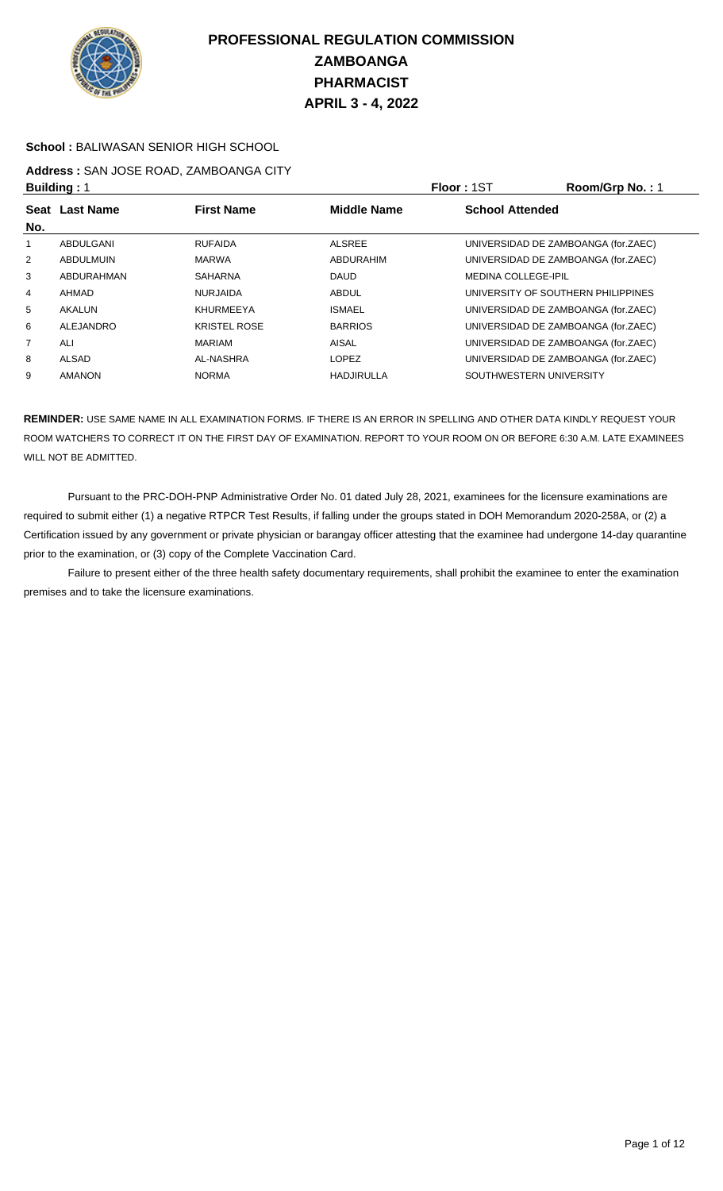

#### **School :** BALIWASAN SENIOR HIGH SCHOOL

## **Address :** SAN JOSE ROAD, ZAMBOANGA CITY

|                | <b>Building: 1</b>                                        |                     |                   | Floor: 1ST                 | Room/Grp No.: 1                     |
|----------------|-----------------------------------------------------------|---------------------|-------------------|----------------------------|-------------------------------------|
|                | Seat Last Name<br><b>First Name</b><br><b>Middle Name</b> |                     |                   | <b>School Attended</b>     |                                     |
| No.            |                                                           |                     |                   |                            |                                     |
|                | ABDULGANI                                                 | <b>RUFAIDA</b>      | <b>ALSREE</b>     |                            | UNIVERSIDAD DE ZAMBOANGA (for.ZAEC) |
| 2              | <b>ABDULMUIN</b>                                          | <b>MARWA</b>        | ABDURAHIM         |                            | UNIVERSIDAD DE ZAMBOANGA (for.ZAEC) |
| 3              | ABDURAHMAN                                                | <b>SAHARNA</b>      | <b>DAUD</b>       | <b>MEDINA COLLEGE-IPIL</b> |                                     |
| $\overline{4}$ | AHMAD                                                     | <b>NURJAIDA</b>     | <b>ABDUL</b>      |                            | UNIVERSITY OF SOUTHERN PHILIPPINES  |
| 5              | AKALUN                                                    | <b>KHURMEEYA</b>    | <b>ISMAEL</b>     |                            | UNIVERSIDAD DE ZAMBOANGA (for.ZAEC) |
| 6              | ALEJANDRO                                                 | <b>KRISTEL ROSE</b> | <b>BARRIOS</b>    |                            | UNIVERSIDAD DE ZAMBOANGA (for.ZAEC) |
| $\overline{7}$ | ALI                                                       | <b>MARIAM</b>       | AISAL             |                            | UNIVERSIDAD DE ZAMBOANGA (for.ZAEC) |
| 8              | ALSAD                                                     | AL-NASHRA           | <b>LOPEZ</b>      |                            | UNIVERSIDAD DE ZAMBOANGA (for.ZAEC) |
| 9              | <b>AMANON</b>                                             | <b>NORMA</b>        | <b>HADJIRULLA</b> |                            | SOUTHWESTERN UNIVERSITY             |

**REMINDER:** USE SAME NAME IN ALL EXAMINATION FORMS. IF THERE IS AN ERROR IN SPELLING AND OTHER DATA KINDLY REQUEST YOUR ROOM WATCHERS TO CORRECT IT ON THE FIRST DAY OF EXAMINATION. REPORT TO YOUR ROOM ON OR BEFORE 6:30 A.M. LATE EXAMINEES WILL NOT BE ADMITTED.

 Pursuant to the PRC-DOH-PNP Administrative Order No. 01 dated July 28, 2021, examinees for the licensure examinations are required to submit either (1) a negative RTPCR Test Results, if falling under the groups stated in DOH Memorandum 2020-258A, or (2) a Certification issued by any government or private physician or barangay officer attesting that the examinee had undergone 14-day quarantine prior to the examination, or (3) copy of the Complete Vaccination Card.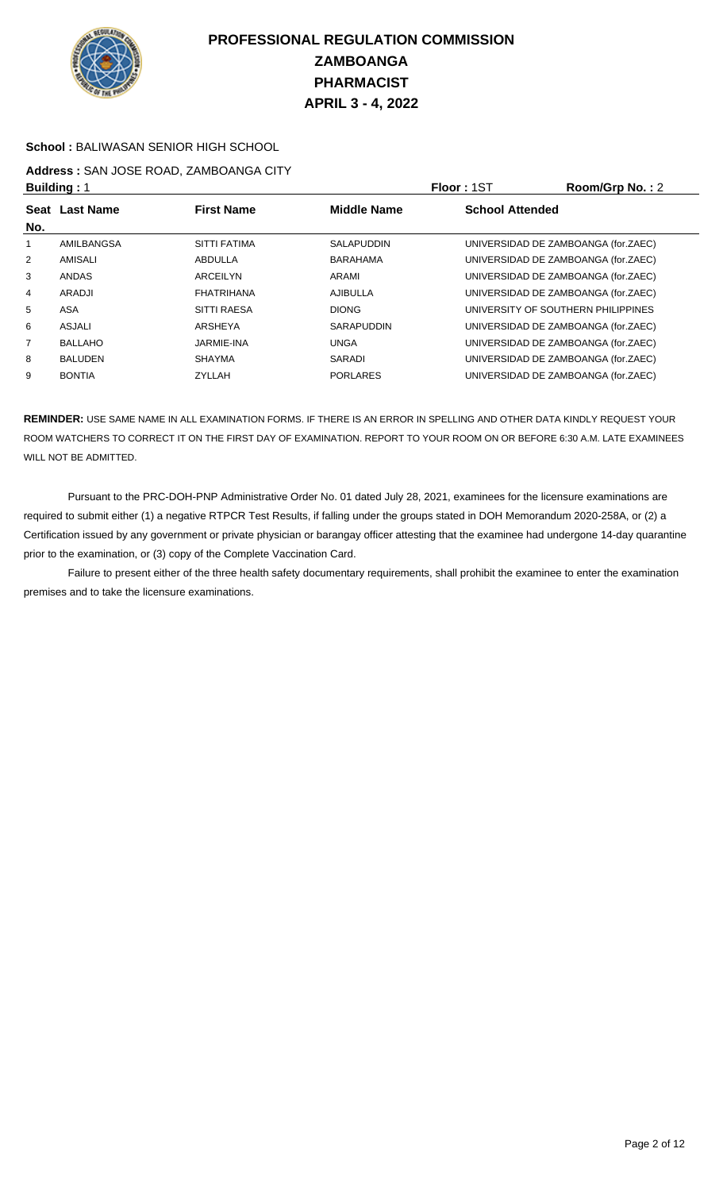

#### **School :** BALIWASAN SENIOR HIGH SCHOOL

## **Address :** SAN JOSE ROAD, ZAMBOANGA CITY

|     | <b>Building: 1</b> |                     |                    | Floor: 1ST                          | Room/Grp No.: 2 |
|-----|--------------------|---------------------|--------------------|-------------------------------------|-----------------|
| No. | Seat Last Name     | <b>First Name</b>   | <b>Middle Name</b> | <b>School Attended</b>              |                 |
|     | AMILBANGSA         | <b>SITTI FATIMA</b> | <b>SALAPUDDIN</b>  | UNIVERSIDAD DE ZAMBOANGA (for.ZAEC) |                 |
| 2   | AMISALI            | ABDULLA             | <b>BARAHAMA</b>    | UNIVERSIDAD DE ZAMBOANGA (for.ZAEC) |                 |
| 3   | <b>ANDAS</b>       | ARCEILYN            | ARAMI              | UNIVERSIDAD DE ZAMBOANGA (for.ZAEC) |                 |
| 4   | ARADJI             | <b>FHATRIHANA</b>   | AJIBULLA           | UNIVERSIDAD DE ZAMBOANGA (for.ZAEC) |                 |
| 5   | ASA                | <b>SITTI RAESA</b>  | <b>DIONG</b>       | UNIVERSITY OF SOUTHERN PHILIPPINES  |                 |
| 6   | ASJALI             | ARSHEYA             | <b>SARAPUDDIN</b>  | UNIVERSIDAD DE ZAMBOANGA (for.ZAEC) |                 |
| 7   | <b>BALLAHO</b>     | <b>JARMIE-INA</b>   | <b>UNGA</b>        | UNIVERSIDAD DE ZAMBOANGA (for.ZAEC) |                 |
| 8   | <b>BALUDEN</b>     | <b>SHAYMA</b>       | SARADI             | UNIVERSIDAD DE ZAMBOANGA (for.ZAEC) |                 |
| 9   | <b>BONTIA</b>      | <b>ZYLLAH</b>       | <b>PORLARES</b>    | UNIVERSIDAD DE ZAMBOANGA (for.ZAEC) |                 |

**REMINDER:** USE SAME NAME IN ALL EXAMINATION FORMS. IF THERE IS AN ERROR IN SPELLING AND OTHER DATA KINDLY REQUEST YOUR ROOM WATCHERS TO CORRECT IT ON THE FIRST DAY OF EXAMINATION. REPORT TO YOUR ROOM ON OR BEFORE 6:30 A.M. LATE EXAMINEES WILL NOT BE ADMITTED.

 Pursuant to the PRC-DOH-PNP Administrative Order No. 01 dated July 28, 2021, examinees for the licensure examinations are required to submit either (1) a negative RTPCR Test Results, if falling under the groups stated in DOH Memorandum 2020-258A, or (2) a Certification issued by any government or private physician or barangay officer attesting that the examinee had undergone 14-day quarantine prior to the examination, or (3) copy of the Complete Vaccination Card.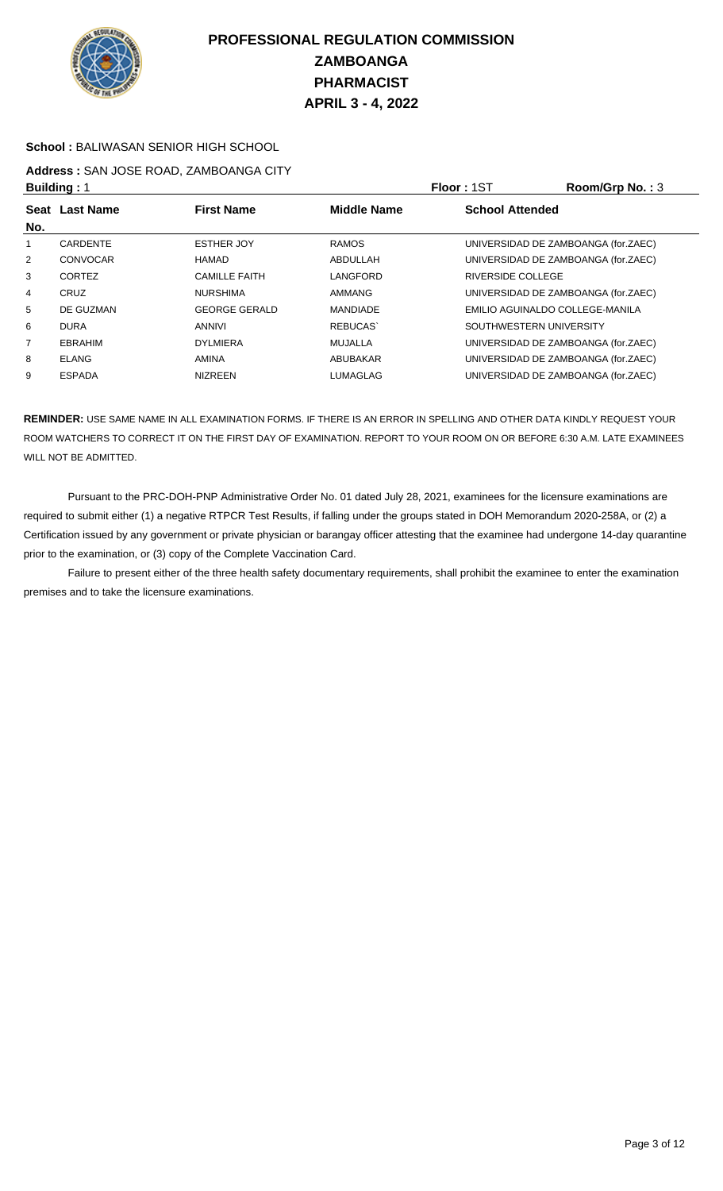

#### **School :** BALIWASAN SENIOR HIGH SCHOOL

## **Address :** SAN JOSE ROAD, ZAMBOANGA CITY

|                | <b>Building: 1</b> |                      |                    | Floor: 1ST                          | Room/Grp No.: 3 |
|----------------|--------------------|----------------------|--------------------|-------------------------------------|-----------------|
| No.            | Seat Last Name     | <b>First Name</b>    | <b>Middle Name</b> | <b>School Attended</b>              |                 |
|                | <b>CARDENTE</b>    | <b>ESTHER JOY</b>    | <b>RAMOS</b>       | UNIVERSIDAD DE ZAMBOANGA (for.ZAEC) |                 |
| $\overline{2}$ | CONVOCAR           | HAMAD                | ABDULLAH           | UNIVERSIDAD DE ZAMBOANGA (for.ZAEC) |                 |
| 3              | <b>CORTEZ</b>      | <b>CAMILLE FAITH</b> | LANGFORD           | <b>RIVERSIDE COLLEGE</b>            |                 |
| 4              | CRUZ               | <b>NURSHIMA</b>      | AMMANG             | UNIVERSIDAD DE ZAMBOANGA (for.ZAEC) |                 |
| 5              | DE GUZMAN          | <b>GEORGE GERALD</b> | <b>MANDIADE</b>    | EMILIO AGUINALDO COLLEGE-MANILA     |                 |
| 6              | <b>DURA</b>        | ANNIVI               | <b>REBUCAS</b>     | SOUTHWESTERN UNIVERSITY             |                 |
| 7              | <b>EBRAHIM</b>     | <b>DYLMIERA</b>      | <b>MUJALLA</b>     | UNIVERSIDAD DE ZAMBOANGA (for.ZAEC) |                 |
| 8              | <b>ELANG</b>       | <b>AMINA</b>         | ABUBAKAR           | UNIVERSIDAD DE ZAMBOANGA (for.ZAEC) |                 |
| 9              | <b>ESPADA</b>      | <b>NIZREEN</b>       | LUMAGLAG           | UNIVERSIDAD DE ZAMBOANGA (for.ZAEC) |                 |

**REMINDER:** USE SAME NAME IN ALL EXAMINATION FORMS. IF THERE IS AN ERROR IN SPELLING AND OTHER DATA KINDLY REQUEST YOUR ROOM WATCHERS TO CORRECT IT ON THE FIRST DAY OF EXAMINATION. REPORT TO YOUR ROOM ON OR BEFORE 6:30 A.M. LATE EXAMINEES WILL NOT BE ADMITTED.

 Pursuant to the PRC-DOH-PNP Administrative Order No. 01 dated July 28, 2021, examinees for the licensure examinations are required to submit either (1) a negative RTPCR Test Results, if falling under the groups stated in DOH Memorandum 2020-258A, or (2) a Certification issued by any government or private physician or barangay officer attesting that the examinee had undergone 14-day quarantine prior to the examination, or (3) copy of the Complete Vaccination Card.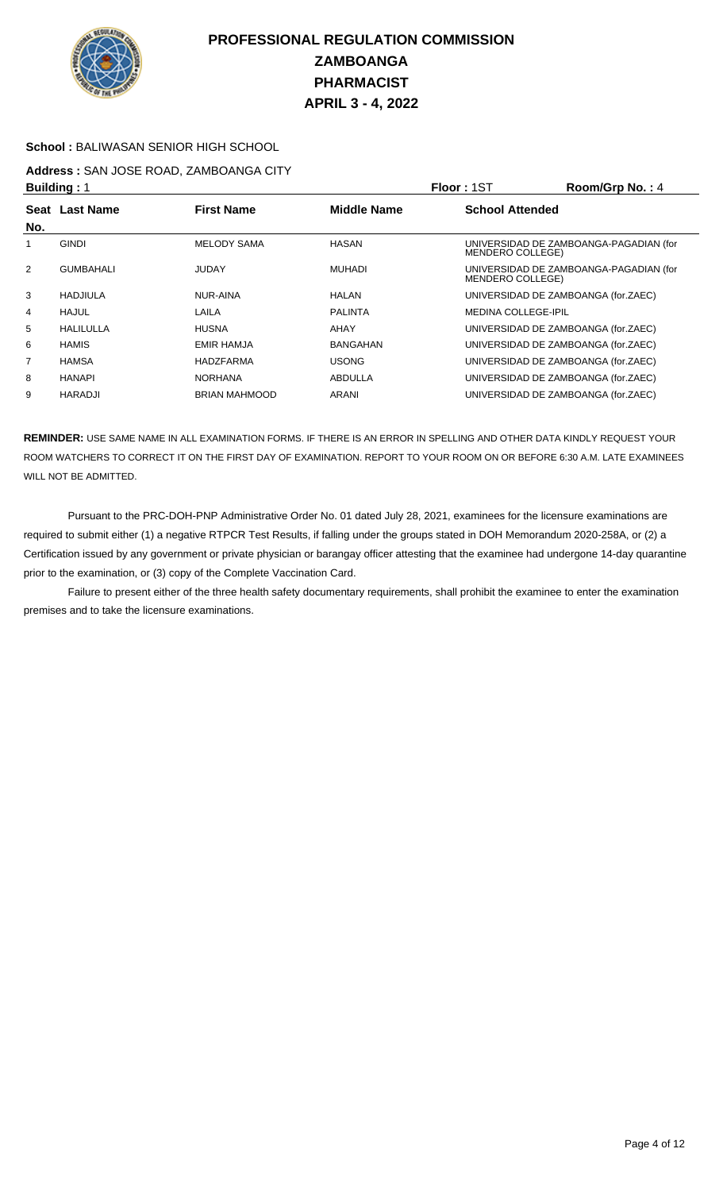

#### **School :** BALIWASAN SENIOR HIGH SCHOOL

# **Address :** SAN JOSE ROAD, ZAMBOANGA CITY

|                | <b>Building: 1</b> |                      |                    | <b>Floor: 1ST</b>                                          | Room/Grp No.: 4 |
|----------------|--------------------|----------------------|--------------------|------------------------------------------------------------|-----------------|
| <b>Seat</b>    | <b>Last Name</b>   | <b>First Name</b>    | <b>Middle Name</b> | <b>School Attended</b>                                     |                 |
| No.            |                    |                      |                    |                                                            |                 |
|                | <b>GINDI</b>       | <b>MELODY SAMA</b>   | <b>HASAN</b>       | UNIVERSIDAD DE ZAMBOANGA-PAGADIAN (for<br>MENDERO COLLEGE) |                 |
| $\overline{2}$ | <b>GUMBAHALI</b>   | <b>JUDAY</b>         | <b>MUHADI</b>      | UNIVERSIDAD DE ZAMBOANGA-PAGADIAN (for<br>MENDERO COLLEGE) |                 |
| 3              | HADJIULA           | NUR-AINA             | <b>HALAN</b>       | UNIVERSIDAD DE ZAMBOANGA (for.ZAEC)                        |                 |
| 4              | HAJUL              | LAILA                | <b>PALINTA</b>     | <b>MEDINA COLLEGE-IPIL</b>                                 |                 |
| 5              | HALILULLA          | <b>HUSNA</b>         | AHAY               | UNIVERSIDAD DE ZAMBOANGA (for.ZAEC)                        |                 |
| 6              | <b>HAMIS</b>       | <b>EMIR HAMJA</b>    | <b>BANGAHAN</b>    | UNIVERSIDAD DE ZAMBOANGA (for.ZAEC)                        |                 |
| 7              | <b>HAMSA</b>       | HADZFARMA            | <b>USONG</b>       | UNIVERSIDAD DE ZAMBOANGA (for.ZAEC)                        |                 |
| 8              | <b>HANAPI</b>      | <b>NORHANA</b>       | ABDULLA            | UNIVERSIDAD DE ZAMBOANGA (for.ZAEC)                        |                 |
| 9              | <b>HARADJI</b>     | <b>BRIAN MAHMOOD</b> | ARANI              | UNIVERSIDAD DE ZAMBOANGA (for.ZAEC)                        |                 |

**REMINDER:** USE SAME NAME IN ALL EXAMINATION FORMS. IF THERE IS AN ERROR IN SPELLING AND OTHER DATA KINDLY REQUEST YOUR ROOM WATCHERS TO CORRECT IT ON THE FIRST DAY OF EXAMINATION. REPORT TO YOUR ROOM ON OR BEFORE 6:30 A.M. LATE EXAMINEES WILL NOT BE ADMITTED.

 Pursuant to the PRC-DOH-PNP Administrative Order No. 01 dated July 28, 2021, examinees for the licensure examinations are required to submit either (1) a negative RTPCR Test Results, if falling under the groups stated in DOH Memorandum 2020-258A, or (2) a Certification issued by any government or private physician or barangay officer attesting that the examinee had undergone 14-day quarantine prior to the examination, or (3) copy of the Complete Vaccination Card.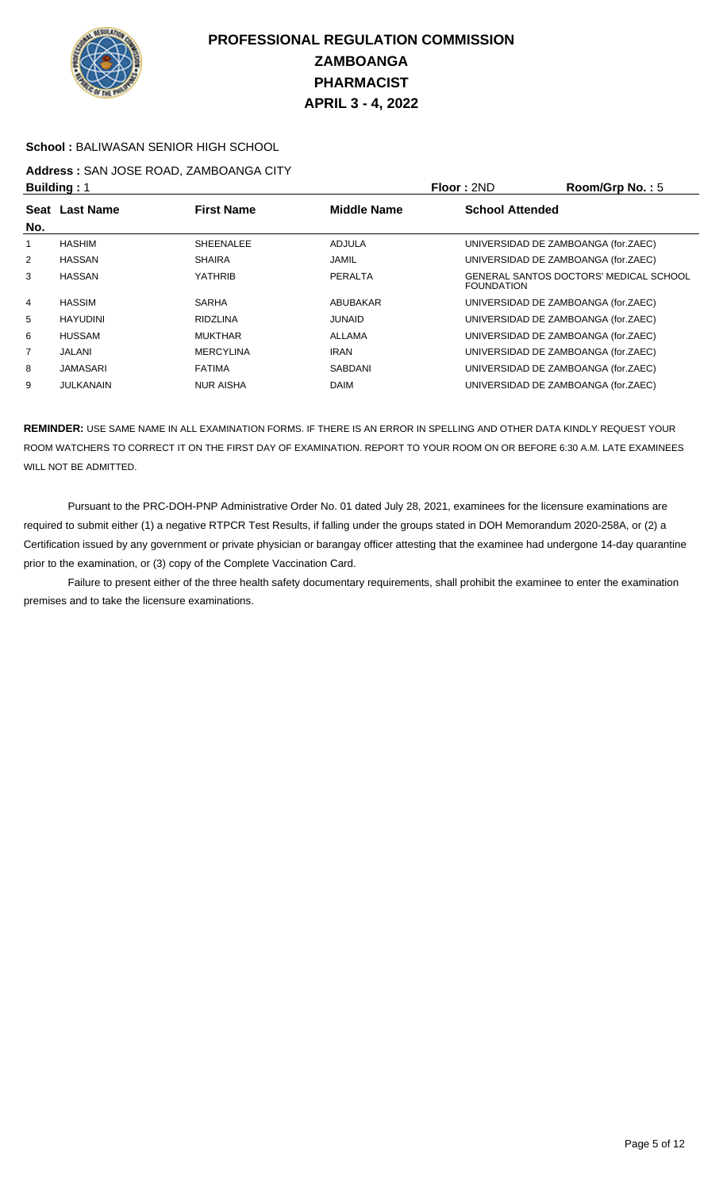

#### **School :** BALIWASAN SENIOR HIGH SCHOOL

# **Address :** SAN JOSE ROAD, ZAMBOANGA CITY

|                | <b>Building: 1</b> |                   |                    | <b>Floor: 2ND</b>      | Room/Grp No.: 5                        |
|----------------|--------------------|-------------------|--------------------|------------------------|----------------------------------------|
|                | Seat Last Name     | <b>First Name</b> | <b>Middle Name</b> | <b>School Attended</b> |                                        |
| No.            |                    |                   |                    |                        |                                        |
|                | <b>HASHIM</b>      | <b>SHEENALEE</b>  | <b>ADJULA</b>      |                        | UNIVERSIDAD DE ZAMBOANGA (for.ZAEC)    |
| 2              | <b>HASSAN</b>      | <b>SHAIRA</b>     | <b>JAMIL</b>       |                        | UNIVERSIDAD DE ZAMBOANGA (for.ZAEC)    |
| 3              | <b>HASSAN</b>      | YATHRIB           | PERALTA            | <b>FOUNDATION</b>      | GENERAL SANTOS DOCTORS' MEDICAL SCHOOL |
| $\overline{4}$ | <b>HASSIM</b>      | <b>SARHA</b>      | ABUBAKAR           |                        | UNIVERSIDAD DE ZAMBOANGA (for.ZAEC)    |
| 5              | <b>HAYUDINI</b>    | <b>RIDZLINA</b>   | <b>JUNAID</b>      |                        | UNIVERSIDAD DE ZAMBOANGA (for.ZAEC)    |
| 6              | <b>HUSSAM</b>      | <b>MUKTHAR</b>    | ALLAMA             |                        | UNIVERSIDAD DE ZAMBOANGA (for.ZAEC)    |
| $\overline{7}$ | JALANI             | <b>MERCYLINA</b>  | <b>IRAN</b>        |                        | UNIVERSIDAD DE ZAMBOANGA (for.ZAEC)    |
| 8              | <b>JAMASARI</b>    | <b>FATIMA</b>     | SABDANI            |                        | UNIVERSIDAD DE ZAMBOANGA (for.ZAEC)    |
| 9              | JULKANAIN          | <b>NUR AISHA</b>  | <b>DAIM</b>        |                        | UNIVERSIDAD DE ZAMBOANGA (for.ZAEC)    |

**REMINDER:** USE SAME NAME IN ALL EXAMINATION FORMS. IF THERE IS AN ERROR IN SPELLING AND OTHER DATA KINDLY REQUEST YOUR ROOM WATCHERS TO CORRECT IT ON THE FIRST DAY OF EXAMINATION. REPORT TO YOUR ROOM ON OR BEFORE 6:30 A.M. LATE EXAMINEES WILL NOT BE ADMITTED.

 Pursuant to the PRC-DOH-PNP Administrative Order No. 01 dated July 28, 2021, examinees for the licensure examinations are required to submit either (1) a negative RTPCR Test Results, if falling under the groups stated in DOH Memorandum 2020-258A, or (2) a Certification issued by any government or private physician or barangay officer attesting that the examinee had undergone 14-day quarantine prior to the examination, or (3) copy of the Complete Vaccination Card.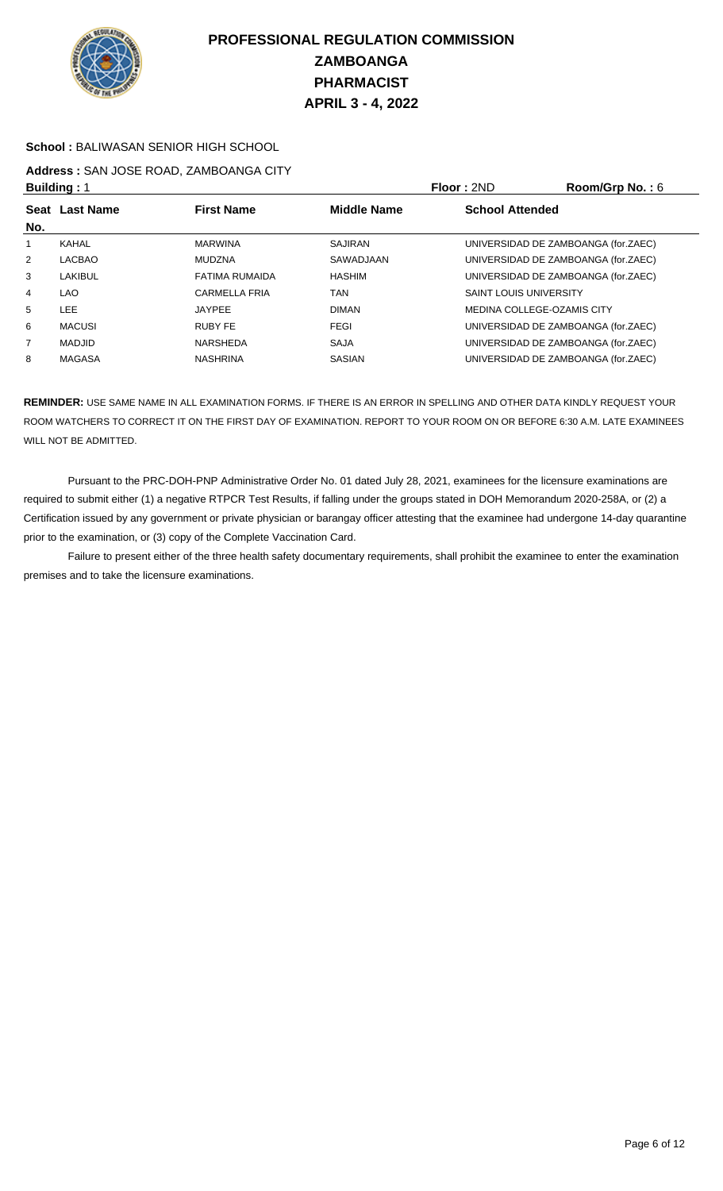

#### **School :** BALIWASAN SENIOR HIGH SCHOOL

## **Address :** SAN JOSE ROAD, ZAMBOANGA CITY

|                | <b>Building: 1</b> |                      |                    | <b>Floor: 2ND</b>             | Room/Grp No.: 6                     |
|----------------|--------------------|----------------------|--------------------|-------------------------------|-------------------------------------|
|                | Seat Last Name     | <b>First Name</b>    | <b>Middle Name</b> | <b>School Attended</b>        |                                     |
| No.            |                    |                      |                    |                               |                                     |
|                | KAHAL              | <b>MARWINA</b>       | <b>SAJIRAN</b>     |                               | UNIVERSIDAD DE ZAMBOANGA (for.ZAEC) |
| 2              | LACBAO             | MUDZNA               | SAWADJAAN          |                               | UNIVERSIDAD DE ZAMBOANGA (for.ZAEC) |
| 3              | LAKIBUL            | FATIMA RUMAIDA       | <b>HASHIM</b>      |                               | UNIVERSIDAD DE ZAMBOANGA (for.ZAEC) |
| 4              | LAO.               | <b>CARMELLA FRIA</b> | TAN                | <b>SAINT LOUIS UNIVERSITY</b> |                                     |
| 5              | <b>LEE</b>         | <b>JAYPEE</b>        | <b>DIMAN</b>       |                               | MEDINA COLLEGE-OZAMIS CITY          |
| 6              | MACUSI             | RUBY FE              | <b>FEGI</b>        |                               | UNIVERSIDAD DE ZAMBOANGA (for.ZAEC) |
| $\overline{7}$ | <b>MADJID</b>      | NARSHEDA             | <b>SAJA</b>        |                               | UNIVERSIDAD DE ZAMBOANGA (for.ZAEC) |
| 8              | <b>MAGASA</b>      | <b>NASHRINA</b>      | <b>SASIAN</b>      |                               | UNIVERSIDAD DE ZAMBOANGA (for.ZAEC) |

**REMINDER:** USE SAME NAME IN ALL EXAMINATION FORMS. IF THERE IS AN ERROR IN SPELLING AND OTHER DATA KINDLY REQUEST YOUR ROOM WATCHERS TO CORRECT IT ON THE FIRST DAY OF EXAMINATION. REPORT TO YOUR ROOM ON OR BEFORE 6:30 A.M. LATE EXAMINEES WILL NOT BE ADMITTED.

 Pursuant to the PRC-DOH-PNP Administrative Order No. 01 dated July 28, 2021, examinees for the licensure examinations are required to submit either (1) a negative RTPCR Test Results, if falling under the groups stated in DOH Memorandum 2020-258A, or (2) a Certification issued by any government or private physician or barangay officer attesting that the examinee had undergone 14-day quarantine prior to the examination, or (3) copy of the Complete Vaccination Card.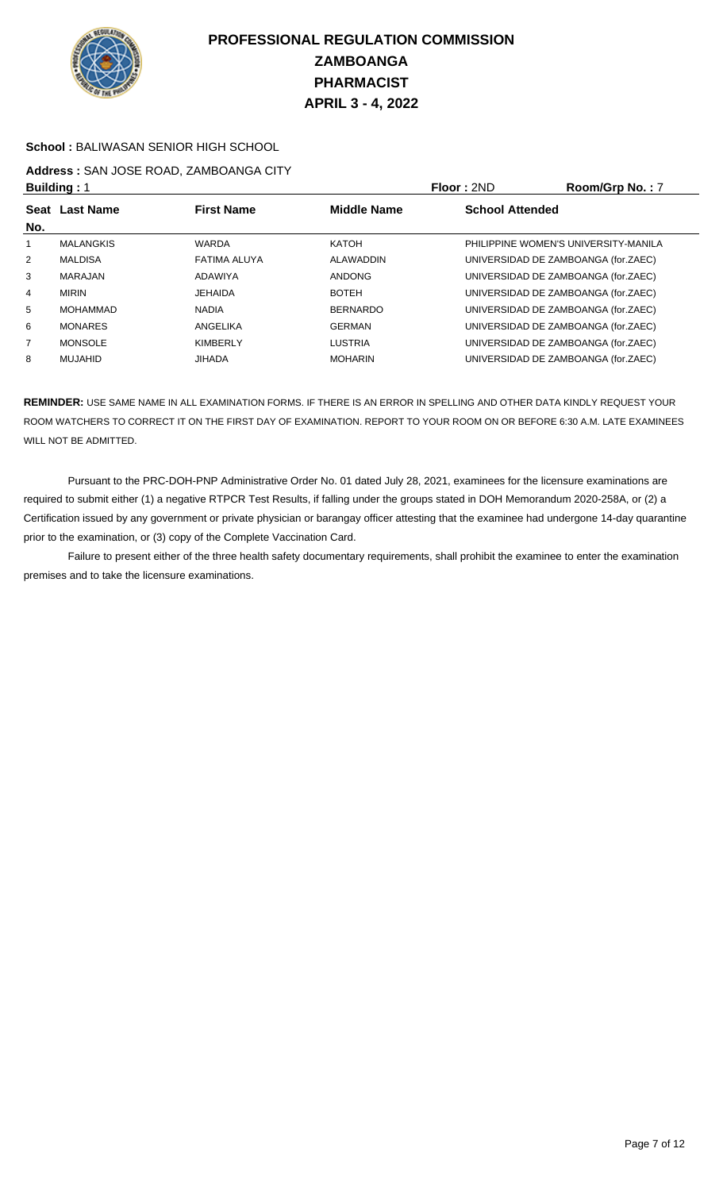

#### **School :** BALIWASAN SENIOR HIGH SCHOOL

## **Address :** SAN JOSE ROAD, ZAMBOANGA CITY

| <b>Building: 1</b> |                  |                   |                    | Floor: 2ND             | Room/Grp No.: 7                      |
|--------------------|------------------|-------------------|--------------------|------------------------|--------------------------------------|
| No.                | Seat Last Name   | <b>First Name</b> | <b>Middle Name</b> | <b>School Attended</b> |                                      |
|                    | <b>MALANGKIS</b> | <b>WARDA</b>      | KATOH              |                        | PHILIPPINE WOMEN'S UNIVERSITY-MANILA |
| $\overline{2}$     | <b>MALDISA</b>   | FATIMA ALUYA      | ALAWADDIN          |                        | UNIVERSIDAD DE ZAMBOANGA (for.ZAEC)  |
| 3                  | <b>MARAJAN</b>   | <b>ADAWIYA</b>    | <b>ANDONG</b>      |                        | UNIVERSIDAD DE ZAMBOANGA (for.ZAEC)  |
| 4                  | <b>MIRIN</b>     | <b>JEHAIDA</b>    | <b>BOTEH</b>       |                        | UNIVERSIDAD DE ZAMBOANGA (for.ZAEC)  |
| 5                  | <b>MOHAMMAD</b>  | <b>NADIA</b>      | <b>BERNARDO</b>    |                        | UNIVERSIDAD DE ZAMBOANGA (for.ZAEC)  |
| 6                  | <b>MONARES</b>   | ANGELIKA          | <b>GERMAN</b>      |                        | UNIVERSIDAD DE ZAMBOANGA (for.ZAEC)  |
| 7                  | <b>MONSOLE</b>   | <b>KIMBERLY</b>   | <b>LUSTRIA</b>     |                        | UNIVERSIDAD DE ZAMBOANGA (for.ZAEC)  |
| 8                  | MUJAHID          | <b>JIHADA</b>     | <b>MOHARIN</b>     |                        | UNIVERSIDAD DE ZAMBOANGA (for.ZAEC)  |

**REMINDER:** USE SAME NAME IN ALL EXAMINATION FORMS. IF THERE IS AN ERROR IN SPELLING AND OTHER DATA KINDLY REQUEST YOUR ROOM WATCHERS TO CORRECT IT ON THE FIRST DAY OF EXAMINATION. REPORT TO YOUR ROOM ON OR BEFORE 6:30 A.M. LATE EXAMINEES WILL NOT BE ADMITTED.

 Pursuant to the PRC-DOH-PNP Administrative Order No. 01 dated July 28, 2021, examinees for the licensure examinations are required to submit either (1) a negative RTPCR Test Results, if falling under the groups stated in DOH Memorandum 2020-258A, or (2) a Certification issued by any government or private physician or barangay officer attesting that the examinee had undergone 14-day quarantine prior to the examination, or (3) copy of the Complete Vaccination Card.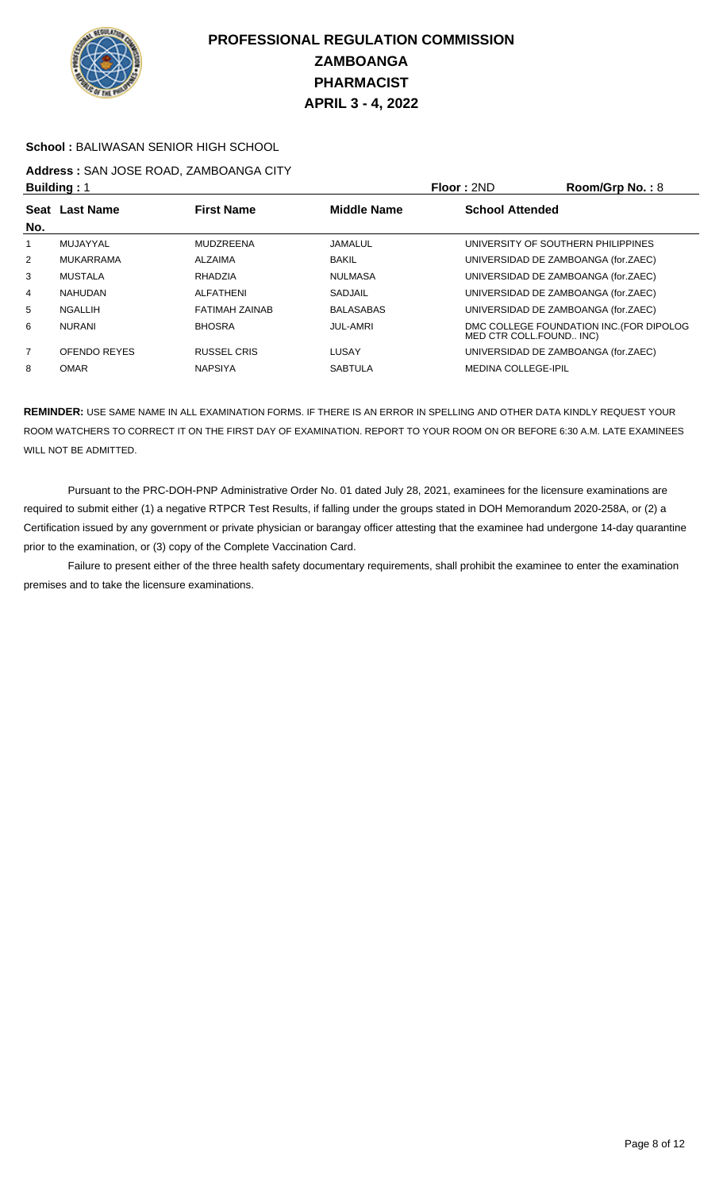

#### **School :** BALIWASAN SENIOR HIGH SCHOOL

## **Address :** SAN JOSE ROAD, ZAMBOANGA CITY

| <b>Building: 1</b> |                |                       |                    | Floor: 2ND                          | Room/Grp No.: 8                          |
|--------------------|----------------|-----------------------|--------------------|-------------------------------------|------------------------------------------|
| No.                | Seat Last Name | <b>First Name</b>     | <b>Middle Name</b> | <b>School Attended</b>              |                                          |
|                    | MUJAYYAL       | <b>MUDZREENA</b>      | JAMALUL            | UNIVERSITY OF SOUTHERN PHILIPPINES  |                                          |
| $\overline{2}$     | MUKARRAMA      | ALZAIMA               | <b>BAKIL</b>       | UNIVERSIDAD DE ZAMBOANGA (for.ZAEC) |                                          |
| 3                  | MUSTALA        | RHADZIA               | <b>NULMASA</b>     | UNIVERSIDAD DE ZAMBOANGA (for.ZAEC) |                                          |
| 4                  | <b>NAHUDAN</b> | ALFATHENI             | <b>SADJAIL</b>     | UNIVERSIDAD DE ZAMBOANGA (for.ZAEC) |                                          |
| 5                  | <b>NGALLIH</b> | <b>FATIMAH ZAINAB</b> | <b>BALASABAS</b>   | UNIVERSIDAD DE ZAMBOANGA (for.ZAEC) |                                          |
| 6                  | <b>NURANI</b>  | <b>BHOSRA</b>         | <b>JUL-AMRI</b>    | MED CTR COLL.FOUND INC)             | DMC COLLEGE FOUNDATION INC. (FOR DIPOLOG |
| $\overline{7}$     | OFENDO REYES   | <b>RUSSEL CRIS</b>    | LUSAY              | UNIVERSIDAD DE ZAMBOANGA (for.ZAEC) |                                          |
| 8                  | <b>OMAR</b>    | <b>NAPSIYA</b>        | <b>SABTULA</b>     | <b>MEDINA COLLEGE-IPIL</b>          |                                          |

**REMINDER:** USE SAME NAME IN ALL EXAMINATION FORMS. IF THERE IS AN ERROR IN SPELLING AND OTHER DATA KINDLY REQUEST YOUR ROOM WATCHERS TO CORRECT IT ON THE FIRST DAY OF EXAMINATION. REPORT TO YOUR ROOM ON OR BEFORE 6:30 A.M. LATE EXAMINEES WILL NOT BE ADMITTED.

 Pursuant to the PRC-DOH-PNP Administrative Order No. 01 dated July 28, 2021, examinees for the licensure examinations are required to submit either (1) a negative RTPCR Test Results, if falling under the groups stated in DOH Memorandum 2020-258A, or (2) a Certification issued by any government or private physician or barangay officer attesting that the examinee had undergone 14-day quarantine prior to the examination, or (3) copy of the Complete Vaccination Card.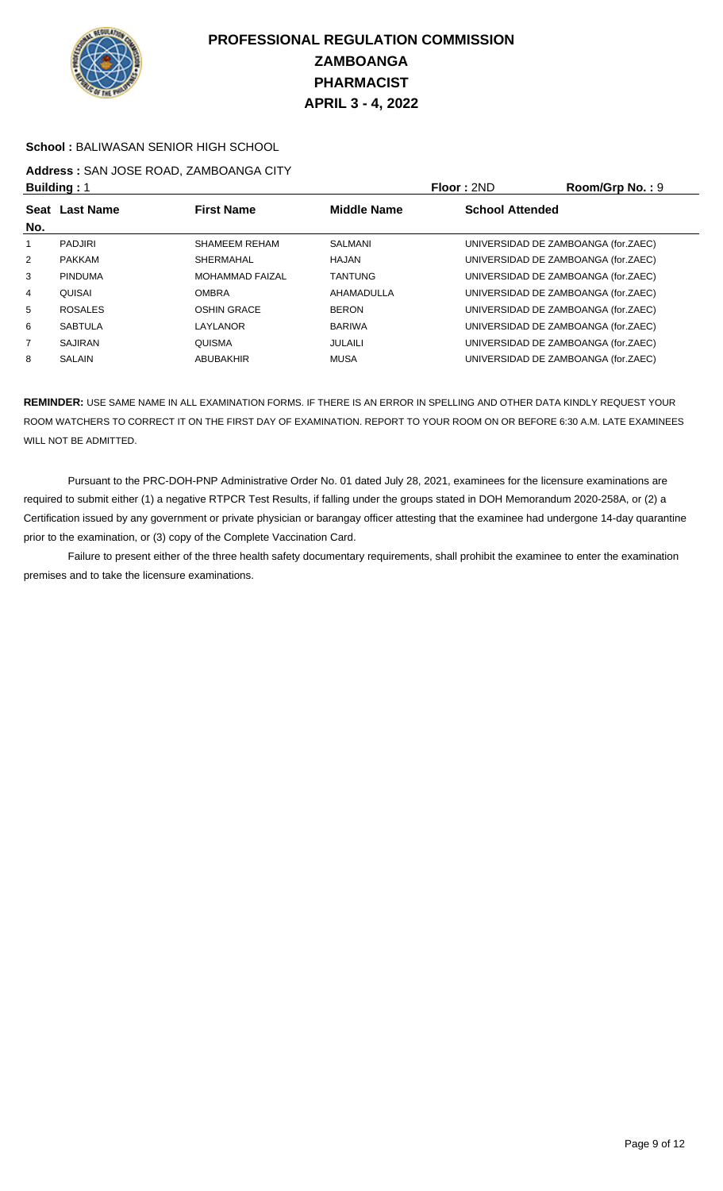

#### **School :** BALIWASAN SENIOR HIGH SCHOOL

## **Address :** SAN JOSE ROAD, ZAMBOANGA CITY

| <b>Building: 1</b> |                |                        |                    | Floor: 2ND                          | Room/Grp No.: 9 |
|--------------------|----------------|------------------------|--------------------|-------------------------------------|-----------------|
|                    | Seat Last Name | <b>First Name</b>      | <b>Middle Name</b> | <b>School Attended</b>              |                 |
| No.                |                |                        |                    |                                     |                 |
|                    | <b>PADJIRI</b> | SHAMEEM REHAM          | SALMANI            | UNIVERSIDAD DE ZAMBOANGA (for.ZAEC) |                 |
| 2                  | <b>PAKKAM</b>  | <b>SHERMAHAL</b>       | HAJAN              | UNIVERSIDAD DE ZAMBOANGA (for.ZAEC) |                 |
| 3                  | <b>PINDUMA</b> | <b>MOHAMMAD FAIZAL</b> | <b>TANTUNG</b>     | UNIVERSIDAD DE ZAMBOANGA (for.ZAEC) |                 |
| 4                  | QUISAI         | <b>OMBRA</b>           | AHAMADULLA         | UNIVERSIDAD DE ZAMBOANGA (for.ZAEC) |                 |
| 5                  | <b>ROSALES</b> | <b>OSHIN GRACE</b>     | <b>BERON</b>       | UNIVERSIDAD DE ZAMBOANGA (for.ZAEC) |                 |
| 6                  | <b>SABTULA</b> | LAYLANOR               | <b>BARIWA</b>      | UNIVERSIDAD DE ZAMBOANGA (for.ZAEC) |                 |
| $\overline{7}$     | <b>SAJIRAN</b> | QUISMA                 | <b>JULAILI</b>     | UNIVERSIDAD DE ZAMBOANGA (for.ZAEC) |                 |
| 8                  | <b>SALAIN</b>  | ABUBAKHIR              | MUSA               | UNIVERSIDAD DE ZAMBOANGA (for.ZAEC) |                 |

**REMINDER:** USE SAME NAME IN ALL EXAMINATION FORMS. IF THERE IS AN ERROR IN SPELLING AND OTHER DATA KINDLY REQUEST YOUR ROOM WATCHERS TO CORRECT IT ON THE FIRST DAY OF EXAMINATION. REPORT TO YOUR ROOM ON OR BEFORE 6:30 A.M. LATE EXAMINEES WILL NOT BE ADMITTED.

 Pursuant to the PRC-DOH-PNP Administrative Order No. 01 dated July 28, 2021, examinees for the licensure examinations are required to submit either (1) a negative RTPCR Test Results, if falling under the groups stated in DOH Memorandum 2020-258A, or (2) a Certification issued by any government or private physician or barangay officer attesting that the examinee had undergone 14-day quarantine prior to the examination, or (3) copy of the Complete Vaccination Card.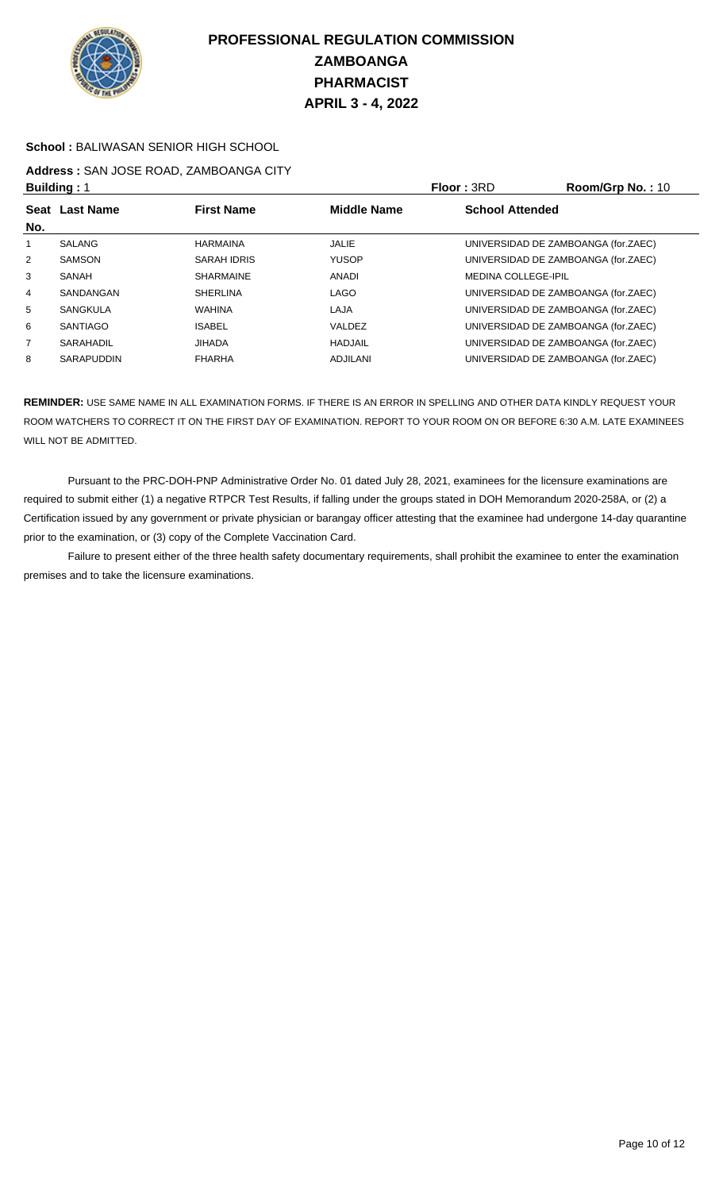

#### **School :** BALIWASAN SENIOR HIGH SCHOOL

## **Address :** SAN JOSE ROAD, ZAMBOANGA CITY

| <b>Building: 1</b> |                   |                    |                    | <b>Floor: 3RD</b>          | Room/Grp No.: 10                    |
|--------------------|-------------------|--------------------|--------------------|----------------------------|-------------------------------------|
| No.                | Seat Last Name    | <b>First Name</b>  | <b>Middle Name</b> | <b>School Attended</b>     |                                     |
|                    | SALANG            | <b>HARMAINA</b>    | <b>JALIE</b>       |                            | UNIVERSIDAD DE ZAMBOANGA (for.ZAEC) |
| 2                  | <b>SAMSON</b>     | <b>SARAH IDRIS</b> | <b>YUSOP</b>       |                            | UNIVERSIDAD DE ZAMBOANGA (for.ZAEC) |
| 3                  | SANAH             | <b>SHARMAINE</b>   | ANADI              | <b>MEDINA COLLEGE-IPIL</b> |                                     |
| 4                  | SANDANGAN         | <b>SHERLINA</b>    | <b>LAGO</b>        |                            | UNIVERSIDAD DE ZAMBOANGA (for.ZAEC) |
| 5                  | <b>SANGKULA</b>   | <b>WAHINA</b>      | LAJA               |                            | UNIVERSIDAD DE ZAMBOANGA (for.ZAEC) |
| 6                  | <b>SANTIAGO</b>   | <b>ISABEL</b>      | VALDEZ             |                            | UNIVERSIDAD DE ZAMBOANGA (for.ZAEC) |
| $\overline{7}$     | SARAHADIL         | <b>JIHADA</b>      | <b>HADJAIL</b>     |                            | UNIVERSIDAD DE ZAMBOANGA (for.ZAEC) |
| 8                  | <b>SARAPUDDIN</b> | <b>FHARHA</b>      | <b>ADJILANI</b>    |                            | UNIVERSIDAD DE ZAMBOANGA (for.ZAEC) |

**REMINDER:** USE SAME NAME IN ALL EXAMINATION FORMS. IF THERE IS AN ERROR IN SPELLING AND OTHER DATA KINDLY REQUEST YOUR ROOM WATCHERS TO CORRECT IT ON THE FIRST DAY OF EXAMINATION. REPORT TO YOUR ROOM ON OR BEFORE 6:30 A.M. LATE EXAMINEES WILL NOT BE ADMITTED.

 Pursuant to the PRC-DOH-PNP Administrative Order No. 01 dated July 28, 2021, examinees for the licensure examinations are required to submit either (1) a negative RTPCR Test Results, if falling under the groups stated in DOH Memorandum 2020-258A, or (2) a Certification issued by any government or private physician or barangay officer attesting that the examinee had undergone 14-day quarantine prior to the examination, or (3) copy of the Complete Vaccination Card.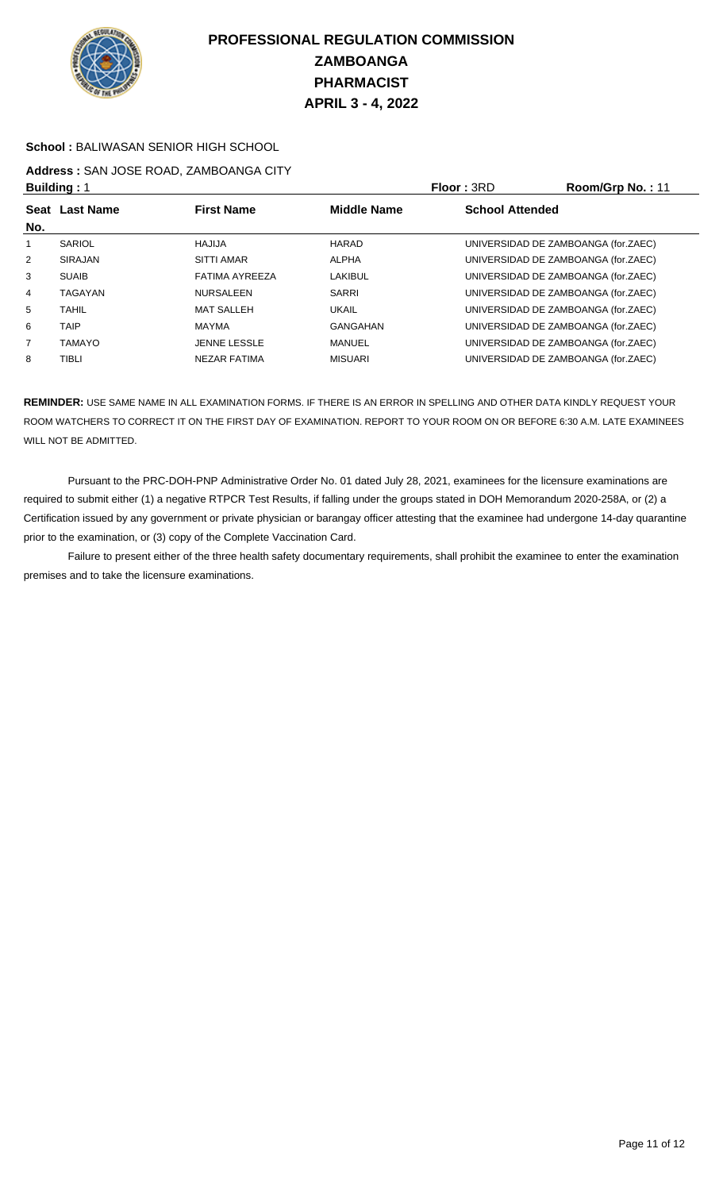

#### **School :** BALIWASAN SENIOR HIGH SCHOOL

## **Address :** SAN JOSE ROAD, ZAMBOANGA CITY

| <b>Building: 1</b> |                |                     |                    | Floor: 3RD             | Room/Grp No.: 11                    |
|--------------------|----------------|---------------------|--------------------|------------------------|-------------------------------------|
| No.                | Seat Last Name | <b>First Name</b>   | <b>Middle Name</b> | <b>School Attended</b> |                                     |
|                    | <b>SARIOL</b>  | HAJIJA              | HARAD              |                        | UNIVERSIDAD DE ZAMBOANGA (for.ZAEC) |
| 2                  | <b>SIRAJAN</b> | <b>SITTI AMAR</b>   | ALPHA              |                        | UNIVERSIDAD DE ZAMBOANGA (for.ZAEC) |
| 3                  | <b>SUAIB</b>   | FATIMA AYREEZA      | LAKIBUL            |                        | UNIVERSIDAD DE ZAMBOANGA (for.ZAEC) |
| 4                  | <b>TAGAYAN</b> | <b>NURSALEEN</b>    | <b>SARRI</b>       |                        | UNIVERSIDAD DE ZAMBOANGA (for.ZAEC) |
| 5                  | <b>TAHIL</b>   | <b>MAT SALLEH</b>   | <b>UKAIL</b>       |                        | UNIVERSIDAD DE ZAMBOANGA (for.ZAEC) |
| 6                  | <b>TAIP</b>    | MAYMA               | GANGAHAN           |                        | UNIVERSIDAD DE ZAMBOANGA (for.ZAEC) |
| $\overline{7}$     | <b>TAMAYO</b>  | <b>JENNE LESSLE</b> | MANUEL             |                        | UNIVERSIDAD DE ZAMBOANGA (for.ZAEC) |
| 8                  | TIBLI          | NEZAR FATIMA        | <b>MISUARI</b>     |                        | UNIVERSIDAD DE ZAMBOANGA (for.ZAEC) |

**REMINDER:** USE SAME NAME IN ALL EXAMINATION FORMS. IF THERE IS AN ERROR IN SPELLING AND OTHER DATA KINDLY REQUEST YOUR ROOM WATCHERS TO CORRECT IT ON THE FIRST DAY OF EXAMINATION. REPORT TO YOUR ROOM ON OR BEFORE 6:30 A.M. LATE EXAMINEES WILL NOT BE ADMITTED.

 Pursuant to the PRC-DOH-PNP Administrative Order No. 01 dated July 28, 2021, examinees for the licensure examinations are required to submit either (1) a negative RTPCR Test Results, if falling under the groups stated in DOH Memorandum 2020-258A, or (2) a Certification issued by any government or private physician or barangay officer attesting that the examinee had undergone 14-day quarantine prior to the examination, or (3) copy of the Complete Vaccination Card.